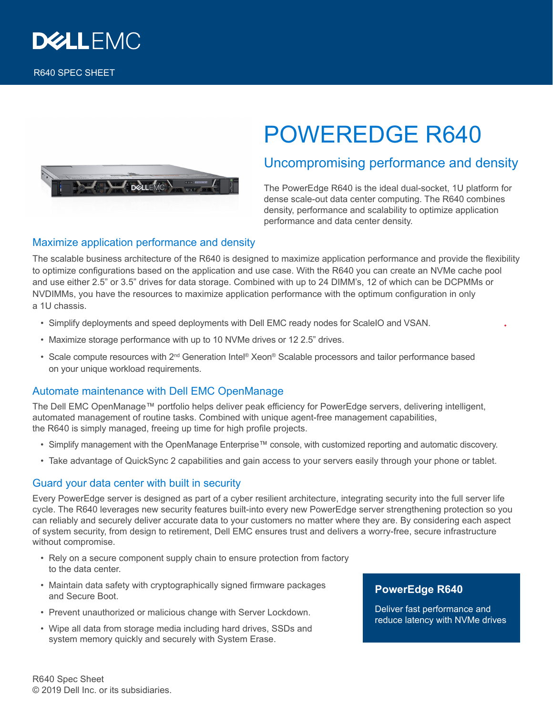

# DRALEMON

# POWEREDGE R640

## Uncompromising performance and density

The PowerEdge R640 is the ideal dual-socket, 1U platform for dense scale-out data center computing. The R640 combines density, performance and scalability to optimize application performance and data center density.

### Maximize application performance and density

The scalable business architecture of the R640 is designed to maximize application performance and provide the flexibility to optimize configurations based on the application and use case. With the R640 you can create an NVMe cache pool and use either 2.5" or 3.5" drives for data storage. Combined with up to 24 DIMM's, 12 of which can be DCPMMs or NVDIMMs, you have the resources to maximize application performance with the optimum configuration in only a 1U chassis.

- Simplify deployments and speed deployments with Dell EMC ready nodes for ScaleIO and VSAN.
- Maximize storage performance with up to 10 NVMe drives or 12 2.5" drives.
- Scale compute resources with 2<sup>nd</sup> Generation Intel® Xeon® Scalable processors and tailor performance based on your unique workload requirements.

#### Automate maintenance with Dell EMC OpenManage

The Dell EMC OpenManage™ portfolio helps deliver peak efficiency for PowerEdge servers, delivering intelligent, automated management of routine tasks. Combined with unique agent-free management capabilities, the R640 is simply managed, freeing up time for high profile projects.

- Simplify management with the OpenManage Enterprise™ console, with customized reporting and automatic discovery.
- Take advantage of QuickSync 2 capabilities and gain access to your servers easily through your phone or tablet.

#### Guard your data center with built in security

Every PowerEdge server is designed as part of a cyber resilient architecture, integrating security into the full server life cycle. The R640 leverages new security features built-into every new PowerEdge server strengthening protection so you can reliably and securely deliver accurate data to your customers no matter where they are. By considering each aspect of system security, from design to retirement, Dell EMC ensures trust and delivers a worry-free, secure infrastructure without compromise.

- Rely on a secure component supply chain to ensure protection from factory to the data center.
- Maintain data safety with cryptographically signed firmware packages and Secure Boot.
- Prevent unauthorized or malicious change with Server Lockdown.
- Wipe all data from storage media including hard drives, SSDs and system memory quickly and securely with System Erase.

#### **PowerEdge R640**

Deliver fast performance and reduce latency with NVMe drives